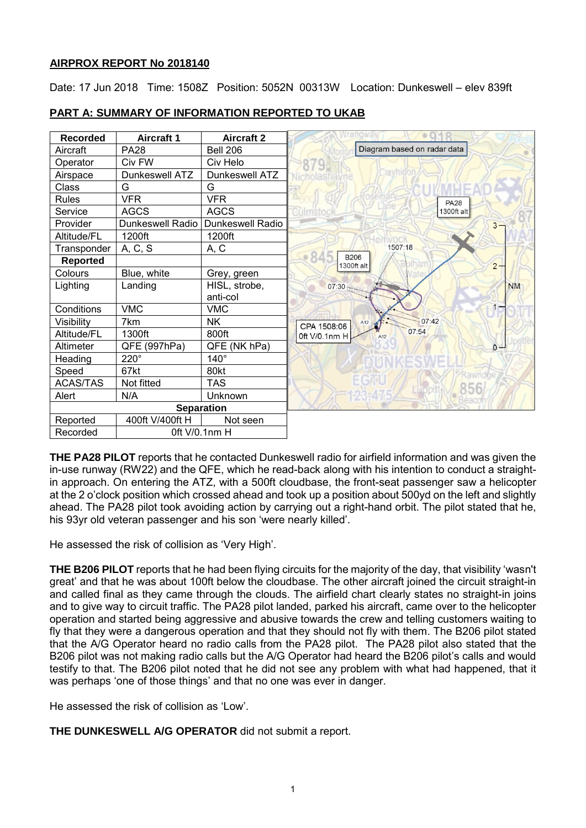## **AIRPROX REPORT No 2018140**

Date: 17 Jun 2018 Time: 1508Z Position: 5052N 00313W Location: Dunkeswell – elev 839ft



# **PART A: SUMMARY OF INFORMATION REPORTED TO UKAB**

**THE PA28 PILOT** reports that he contacted Dunkeswell radio for airfield information and was given the in-use runway (RW22) and the QFE, which he read-back along with his intention to conduct a straightin approach. On entering the ATZ, with a 500ft cloudbase, the front-seat passenger saw a helicopter at the 2 o'clock position which crossed ahead and took up a position about 500yd on the left and slightly ahead. The PA28 pilot took avoiding action by carrying out a right-hand orbit. The pilot stated that he, his 93yr old veteran passenger and his son 'were nearly killed'.

He assessed the risk of collision as 'Very High'.

**THE B206 PILOT** reports that he had been flying circuits for the majority of the day, that visibility 'wasn't great' and that he was about 100ft below the cloudbase. The other aircraft joined the circuit straight-in and called final as they came through the clouds. The airfield chart clearly states no straight-in joins and to give way to circuit traffic. The PA28 pilot landed, parked his aircraft, came over to the helicopter operation and started being aggressive and abusive towards the crew and telling customers waiting to fly that they were a dangerous operation and that they should not fly with them. The B206 pilot stated that the A/G Operator heard no radio calls from the PA28 pilot. The PA28 pilot also stated that the B206 pilot was not making radio calls but the A/G Operator had heard the B206 pilot's calls and would testify to that. The B206 pilot noted that he did not see any problem with what had happened, that it was perhaps 'one of those things' and that no one was ever in danger.

He assessed the risk of collision as 'Low'.

**THE DUNKESWELL A/G OPERATOR** did not submit a report.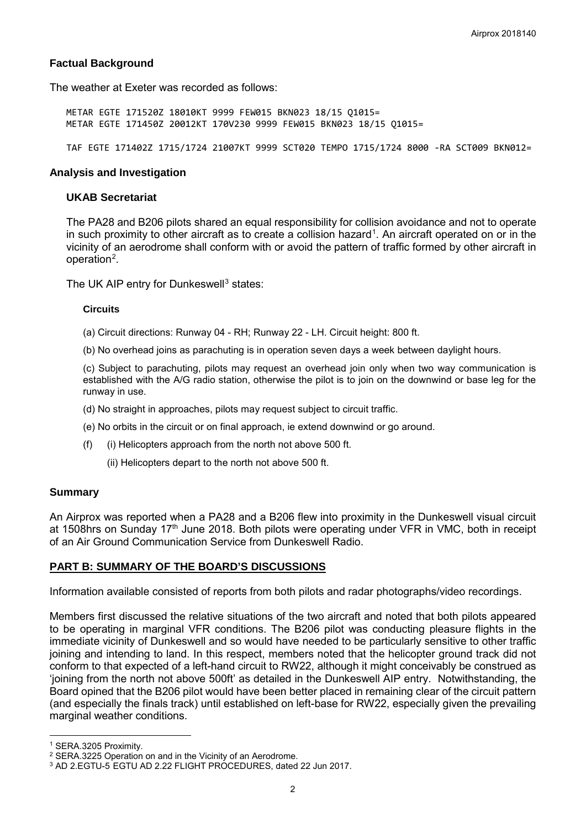## **Factual Background**

The weather at Exeter was recorded as follows:

METAR EGTE 171520Z 18010KT 9999 FEW015 BKN023 18/15 Q1015= METAR EGTE 171450Z 20012KT 170V230 9999 FEW015 BKN023 18/15 Q1015=

TAF EGTE 171402Z 1715/1724 21007KT 9999 SCT020 TEMPO 1715/1724 8000 -RA SCT009 BKN012=

#### **Analysis and Investigation**

## **UKAB Secretariat**

The PA28 and B206 pilots shared an equal responsibility for collision avoidance and not to operate in such proximity to other aircraft as to create a collision hazard<sup>[1](#page-1-0)</sup>. An aircraft operated on or in the vicinity of an aerodrome shall conform with or avoid the pattern of traffic formed by other aircraft in operation<sup>[2](#page-1-1)</sup>.

The UK AIP entry for Dunkeswell<sup>[3](#page-1-2)</sup> states:

#### **Circuits**

(a) Circuit directions: Runway 04 - RH; Runway 22 - LH. Circuit height: 800 ft.

(b) No overhead joins as parachuting is in operation seven days a week between daylight hours.

(c) Subject to parachuting, pilots may request an overhead join only when two way communication is established with the A/G radio station, otherwise the pilot is to join on the downwind or base leg for the runway in use.

- (d) No straight in approaches, pilots may request subject to circuit traffic.
- (e) No orbits in the circuit or on final approach, ie extend downwind or go around.
- (f) (i) Helicopters approach from the north not above 500 ft.
	- (ii) Helicopters depart to the north not above 500 ft.

#### **Summary**

An Airprox was reported when a PA28 and a B206 flew into proximity in the Dunkeswell visual circuit at 1508hrs on Sunday 17<sup>th</sup> June 2018. Both pilots were operating under VFR in VMC, both in receipt of an Air Ground Communication Service from Dunkeswell Radio.

#### **PART B: SUMMARY OF THE BOARD'S DISCUSSIONS**

Information available consisted of reports from both pilots and radar photographs/video recordings.

Members first discussed the relative situations of the two aircraft and noted that both pilots appeared to be operating in marginal VFR conditions. The B206 pilot was conducting pleasure flights in the immediate vicinity of Dunkeswell and so would have needed to be particularly sensitive to other traffic joining and intending to land. In this respect, members noted that the helicopter ground track did not conform to that expected of a left-hand circuit to RW22, although it might conceivably be construed as 'joining from the north not above 500ft' as detailed in the Dunkeswell AIP entry. Notwithstanding, the Board opined that the B206 pilot would have been better placed in remaining clear of the circuit pattern (and especially the finals track) until established on left-base for RW22, especially given the prevailing marginal weather conditions.

 $\overline{\phantom{a}}$ 

<span id="page-1-1"></span><span id="page-1-0"></span><sup>&</sup>lt;sup>1</sup> SERA.3205 Proximity.<br><sup>2</sup> SERA.3225 Operation on and in the Vicinity of an Aerodrome.

<span id="page-1-2"></span><sup>&</sup>lt;sup>3</sup> AD 2.EGTU-5 EGTU AD 2.22 FLIGHT PROCEDURES, dated 22 Jun 2017.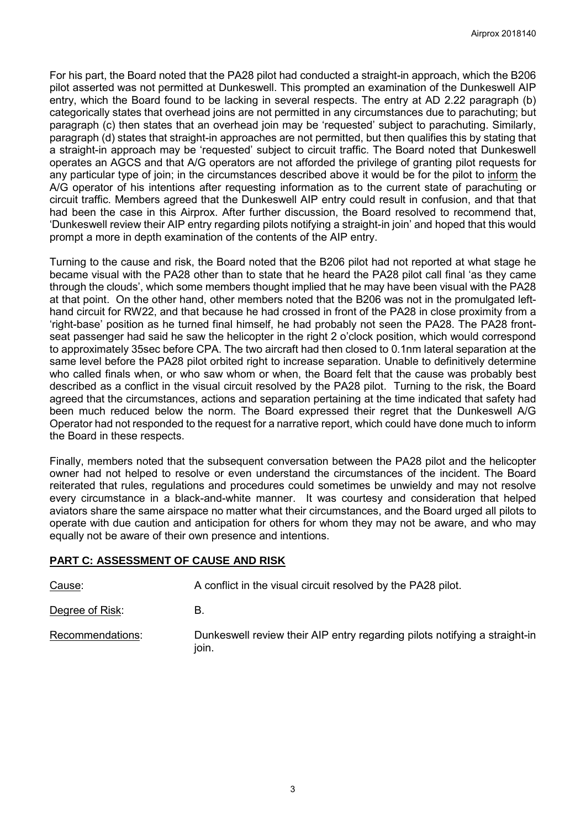For his part, the Board noted that the PA28 pilot had conducted a straight-in approach, which the B206 pilot asserted was not permitted at Dunkeswell. This prompted an examination of the Dunkeswell AIP entry, which the Board found to be lacking in several respects. The entry at AD 2.22 paragraph (b) categorically states that overhead joins are not permitted in any circumstances due to parachuting; but paragraph (c) then states that an overhead join may be 'requested' subject to parachuting. Similarly, paragraph (d) states that straight-in approaches are not permitted, but then qualifies this by stating that a straight-in approach may be 'requested' subject to circuit traffic. The Board noted that Dunkeswell operates an AGCS and that A/G operators are not afforded the privilege of granting pilot requests for any particular type of join; in the circumstances described above it would be for the pilot to inform the A/G operator of his intentions after requesting information as to the current state of parachuting or circuit traffic. Members agreed that the Dunkeswell AIP entry could result in confusion, and that that had been the case in this Airprox. After further discussion, the Board resolved to recommend that, 'Dunkeswell review their AIP entry regarding pilots notifying a straight-in join' and hoped that this would prompt a more in depth examination of the contents of the AIP entry.

Turning to the cause and risk, the Board noted that the B206 pilot had not reported at what stage he became visual with the PA28 other than to state that he heard the PA28 pilot call final 'as they came through the clouds', which some members thought implied that he may have been visual with the PA28 at that point. On the other hand, other members noted that the B206 was not in the promulgated lefthand circuit for RW22, and that because he had crossed in front of the PA28 in close proximity from a 'right-base' position as he turned final himself, he had probably not seen the PA28. The PA28 frontseat passenger had said he saw the helicopter in the right 2 o'clock position, which would correspond to approximately 35sec before CPA. The two aircraft had then closed to 0.1nm lateral separation at the same level before the PA28 pilot orbited right to increase separation. Unable to definitively determine who called finals when, or who saw whom or when, the Board felt that the cause was probably best described as a conflict in the visual circuit resolved by the PA28 pilot. Turning to the risk, the Board agreed that the circumstances, actions and separation pertaining at the time indicated that safety had been much reduced below the norm. The Board expressed their regret that the Dunkeswell A/G Operator had not responded to the request for a narrative report, which could have done much to inform the Board in these respects.

Finally, members noted that the subsequent conversation between the PA28 pilot and the helicopter owner had not helped to resolve or even understand the circumstances of the incident. The Board reiterated that rules, regulations and procedures could sometimes be unwieldy and may not resolve every circumstance in a black-and-white manner. It was courtesy and consideration that helped aviators share the same airspace no matter what their circumstances, and the Board urged all pilots to operate with due caution and anticipation for others for whom they may not be aware, and who may equally not be aware of their own presence and intentions.

## **PART C: ASSESSMENT OF CAUSE AND RISK**

| Cause:           | A conflict in the visual circuit resolved by the PA28 pilot.                        |  |  |  |
|------------------|-------------------------------------------------------------------------------------|--|--|--|
| Degree of Risk:  | В.                                                                                  |  |  |  |
| Recommendations: | Dunkeswell review their AIP entry regarding pilots notifying a straight-in<br>join. |  |  |  |